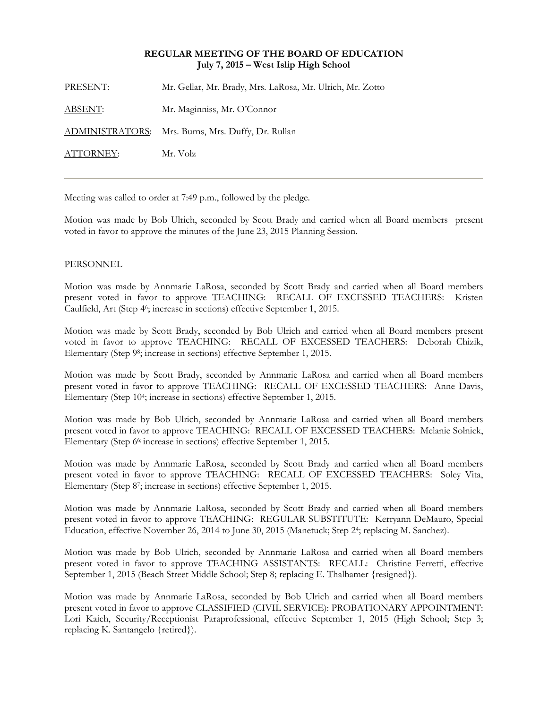## **REGULAR MEETING OF THE BOARD OF EDUCATION July 7, 2015 – West Islip High School**

| PRESENT:       | Mr. Gellar, Mr. Brady, Mrs. LaRosa, Mr. Ulrich, Mr. Zotto |
|----------------|-----------------------------------------------------------|
| <u>ABSENT:</u> | Mr. Maginniss, Mr. O'Connor                               |
|                | ADMINISTRATORS: Mrs. Burns, Mrs. Duffy, Dr. Rullan        |
| ATTORNEY:      | Mr. Volz                                                  |
|                |                                                           |

Meeting was called to order at 7:49 p.m., followed by the pledge.

Motion was made by Bob Ulrich, seconded by Scott Brady and carried when all Board members present voted in favor to approve the minutes of the June 23, 2015 Planning Session.

## PERSONNEL

Motion was made by Annmarie LaRosa, seconded by Scott Brady and carried when all Board members present voted in favor to approve TEACHING: RECALL OF EXCESSED TEACHERS: Kristen Caulfield, Art (Step 46; increase in sections) effective September 1, 2015.

Motion was made by Scott Brady, seconded by Bob Ulrich and carried when all Board members present voted in favor to approve TEACHING: RECALL OF EXCESSED TEACHERS: Deborah Chizik, Elementary (Step 98; increase in sections) effective September 1, 2015.

Motion was made by Scott Brady, seconded by Annmarie LaRosa and carried when all Board members present voted in favor to approve TEACHING: RECALL OF EXCESSED TEACHERS: Anne Davis, Elementary (Step 104; increase in sections) effective September 1, 2015.

Motion was made by Bob Ulrich, seconded by Annmarie LaRosa and carried when all Board members present voted in favor to approve TEACHING: RECALL OF EXCESSED TEACHERS: Melanie Solnick, Elementary (Step 66; increase in sections) effective September 1, 2015.

Motion was made by Annmarie LaRosa, seconded by Scott Brady and carried when all Board members present voted in favor to approve TEACHING: RECALL OF EXCESSED TEACHERS: Soley Vita, Elementary (Step 87; increase in sections) effective September 1, 2015.

Motion was made by Annmarie LaRosa, seconded by Scott Brady and carried when all Board members present voted in favor to approve TEACHING: REGULAR SUBSTITUTE: Kerryann DeMauro, Special Education, effective November 26, 2014 to June 30, 2015 (Manetuck; Step 24; replacing M. Sanchez).

Motion was made by Bob Ulrich, seconded by Annmarie LaRosa and carried when all Board members present voted in favor to approve TEACHING ASSISTANTS: RECALL: Christine Ferretti, effective September 1, 2015 (Beach Street Middle School; Step 8; replacing E. Thalhamer {resigned}).

Motion was made by Annmarie LaRosa, seconded by Bob Ulrich and carried when all Board members present voted in favor to approve CLASSIFIED (CIVIL SERVICE): PROBATIONARY APPOINTMENT: Lori Kaich, Security/Receptionist Paraprofessional, effective September 1, 2015 (High School; Step 3; replacing K. Santangelo {retired}).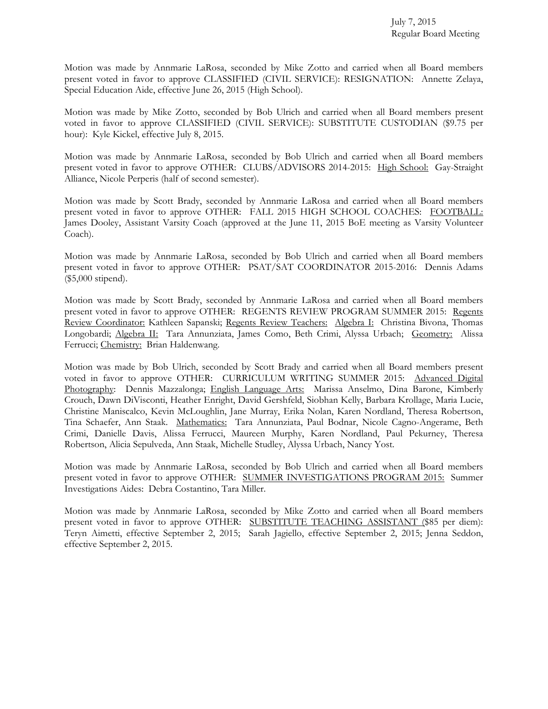Motion was made by Annmarie LaRosa, seconded by Mike Zotto and carried when all Board members present voted in favor to approve CLASSIFIED (CIVIL SERVICE): RESIGNATION: Annette Zelaya, Special Education Aide, effective June 26, 2015 (High School).

Motion was made by Mike Zotto, seconded by Bob Ulrich and carried when all Board members present voted in favor to approve CLASSIFIED (CIVIL SERVICE): SUBSTITUTE CUSTODIAN (\$9.75 per hour): Kyle Kickel, effective July 8, 2015.

Motion was made by Annmarie LaRosa, seconded by Bob Ulrich and carried when all Board members present voted in favor to approve OTHER: CLUBS/ADVISORS 2014-2015: High School: Gay-Straight Alliance, Nicole Perperis (half of second semester).

Motion was made by Scott Brady, seconded by Annmarie LaRosa and carried when all Board members present voted in favor to approve OTHER: FALL 2015 HIGH SCHOOL COACHES: FOOTBALL: James Dooley, Assistant Varsity Coach (approved at the June 11, 2015 BoE meeting as Varsity Volunteer Coach).

Motion was made by Annmarie LaRosa, seconded by Bob Ulrich and carried when all Board members present voted in favor to approve OTHER: PSAT/SAT COORDINATOR 2015-2016: Dennis Adams (\$5,000 stipend).

Motion was made by Scott Brady, seconded by Annmarie LaRosa and carried when all Board members present voted in favor to approve OTHER: REGENTS REVIEW PROGRAM SUMMER 2015: Regents Review Coordinator: Kathleen Sapanski; Regents Review Teachers: Algebra I: Christina Bivona, Thomas Longobardi; Algebra II: Tara Annunziata, James Como, Beth Crimi, Alyssa Urbach; Geometry: Alissa Ferrucci; Chemistry: Brian Haldenwang.

Motion was made by Bob Ulrich, seconded by Scott Brady and carried when all Board members present voted in favor to approve OTHER: CURRICULUM WRITING SUMMER 2015: Advanced Digital Photography: Dennis Mazzalonga; English Language Arts: Marissa Anselmo, Dina Barone, Kimberly Crouch, Dawn DiVisconti, Heather Enright, David Gershfeld, Siobhan Kelly, Barbara Krollage, Maria Lucie, Christine Maniscalco, Kevin McLoughlin, Jane Murray, Erika Nolan, Karen Nordland, Theresa Robertson, Tina Schaefer, Ann Staak. Mathematics: Tara Annunziata, Paul Bodnar, Nicole Cagno-Angerame, Beth Crimi, Danielle Davis, Alissa Ferrucci, Maureen Murphy, Karen Nordland, Paul Pekurney, Theresa Robertson, Alicia Sepulveda, Ann Staak, Michelle Studley, Alyssa Urbach, Nancy Yost.

Motion was made by Annmarie LaRosa, seconded by Bob Ulrich and carried when all Board members present voted in favor to approve OTHER: SUMMER INVESTIGATIONS PROGRAM 2015: Summer Investigations Aides: Debra Costantino, Tara Miller.

Motion was made by Annmarie LaRosa, seconded by Mike Zotto and carried when all Board members present voted in favor to approve OTHER: SUBSTITUTE TEACHING ASSISTANT (\$85 per diem): Teryn Aimetti, effective September 2, 2015; Sarah Jagiello, effective September 2, 2015; Jenna Seddon, effective September 2, 2015.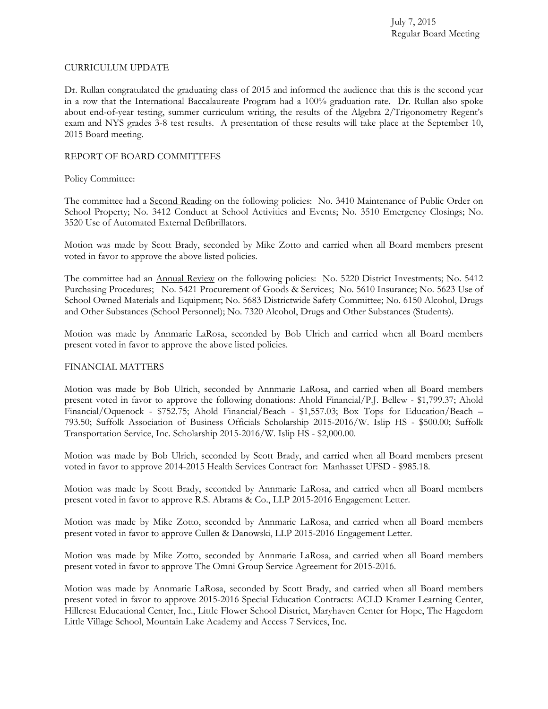July 7, 2015 Regular Board Meeting

#### CURRICULUM UPDATE

Dr. Rullan congratulated the graduating class of 2015 and informed the audience that this is the second year in a row that the International Baccalaureate Program had a 100% graduation rate. Dr. Rullan also spoke about end-of-year testing, summer curriculum writing, the results of the Algebra 2/Trigonometry Regent's exam and NYS grades 3-8 test results. A presentation of these results will take place at the September 10, 2015 Board meeting.

## REPORT OF BOARD COMMITTEES

### Policy Committee:

The committee had a Second Reading on the following policies: No. 3410 Maintenance of Public Order on School Property; No. 3412 Conduct at School Activities and Events; No. 3510 Emergency Closings; No. 3520 Use of Automated External Defibrillators.

Motion was made by Scott Brady, seconded by Mike Zotto and carried when all Board members present voted in favor to approve the above listed policies.

The committee had an **Annual Review** on the following policies: No. 5220 District Investments; No. 5412 Purchasing Procedures; No. 5421 Procurement of Goods & Services; No. 5610 Insurance; No. 5623 Use of School Owned Materials and Equipment; No. 5683 Districtwide Safety Committee; No. 6150 Alcohol, Drugs and Other Substances (School Personnel); No. 7320 Alcohol, Drugs and Other Substances (Students).

Motion was made by Annmarie LaRosa, seconded by Bob Ulrich and carried when all Board members present voted in favor to approve the above listed policies.

## FINANCIAL MATTERS

Motion was made by Bob Ulrich, seconded by Annmarie LaRosa, and carried when all Board members present voted in favor to approve the following donations: Ahold Financial/P.J. Bellew - \$1,799.37; Ahold Financial/Oquenock - \$752.75; Ahold Financial/Beach - \$1,557.03; Box Tops for Education/Beach – 793.50; Suffolk Association of Business Officials Scholarship 2015-2016/W. Islip HS - \$500.00; Suffolk Transportation Service, Inc. Scholarship 2015-2016/W. Islip HS - \$2,000.00.

Motion was made by Bob Ulrich, seconded by Scott Brady, and carried when all Board members present voted in favor to approve 2014-2015 Health Services Contract for: Manhasset UFSD - \$985.18.

Motion was made by Scott Brady, seconded by Annmarie LaRosa, and carried when all Board members present voted in favor to approve R.S. Abrams & Co., LLP 2015-2016 Engagement Letter.

Motion was made by Mike Zotto, seconded by Annmarie LaRosa, and carried when all Board members present voted in favor to approve Cullen & Danowski, LLP 2015-2016 Engagement Letter.

Motion was made by Mike Zotto, seconded by Annmarie LaRosa, and carried when all Board members present voted in favor to approve The Omni Group Service Agreement for 2015-2016.

Motion was made by Annmarie LaRosa, seconded by Scott Brady, and carried when all Board members present voted in favor to approve 2015-2016 Special Education Contracts: ACLD Kramer Learning Center, Hillcrest Educational Center, Inc., Little Flower School District, Maryhaven Center for Hope, The Hagedorn Little Village School, Mountain Lake Academy and Access 7 Services, Inc.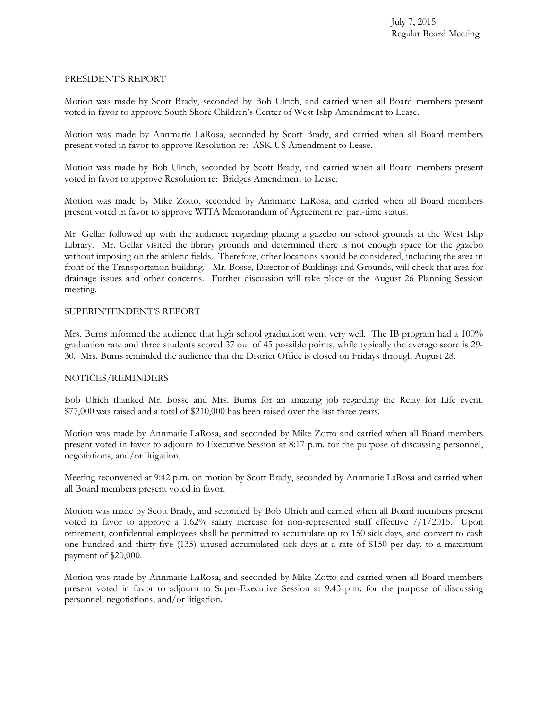## PRESIDENT'S REPORT

Motion was made by Scott Brady, seconded by Bob Ulrich, and carried when all Board members present voted in favor to approve South Shore Children's Center of West Islip Amendment to Lease.

Motion was made by Annmarie LaRosa, seconded by Scott Brady, and carried when all Board members present voted in favor to approve Resolution re: ASK US Amendment to Lease.

Motion was made by Bob Ulrich, seconded by Scott Brady, and carried when all Board members present voted in favor to approve Resolution re: Bridges Amendment to Lease.

Motion was made by Mike Zotto, seconded by Annmarie LaRosa, and carried when all Board members present voted in favor to approve WITA Memorandum of Agreement re: part-time status.

Mr. Gellar followed up with the audience regarding placing a gazebo on school grounds at the West Islip Library. Mr. Gellar visited the library grounds and determined there is not enough space for the gazebo without imposing on the athletic fields. Therefore, other locations should be considered, including the area in front of the Transportation building. Mr. Bosse, Director of Buildings and Grounds, will check that area for drainage issues and other concerns. Further discussion will take place at the August 26 Planning Session meeting.

# SUPERINTENDENT'S REPORT

Mrs. Burns informed the audience that high school graduation went very well. The IB program had a 100% graduation rate and three students scored 37 out of 45 possible points, while typically the average score is 29- 30. Mrs. Burns reminded the audience that the District Office is closed on Fridays through August 28.

## NOTICES/REMINDERS

Bob Ulrich thanked Mr. Bosse and Mrs. Burns for an amazing job regarding the Relay for Life event. \$77,000 was raised and a total of \$210,000 has been raised over the last three years.

Motion was made by Annmarie LaRosa, and seconded by Mike Zotto and carried when all Board members present voted in favor to adjourn to Executive Session at 8:17 p.m. for the purpose of discussing personnel, negotiations, and/or litigation.

Meeting reconvened at 9:42 p.m. on motion by Scott Brady, seconded by Annmarie LaRosa and carried when all Board members present voted in favor.

Motion was made by Scott Brady, and seconded by Bob Ulrich and carried when all Board members present voted in favor to approve a 1.62% salary increase for non-represented staff effective 7/1/2015. Upon retirement, confidential employees shall be permitted to accumulate up to 150 sick days, and convert to cash one hundred and thirty-five (135) unused accumulated sick days at a rate of \$150 per day, to a maximum payment of \$20,000.

Motion was made by Annmarie LaRosa, and seconded by Mike Zotto and carried when all Board members present voted in favor to adjourn to Super-Executive Session at 9:43 p.m. for the purpose of discussing personnel, negotiations, and/or litigation.